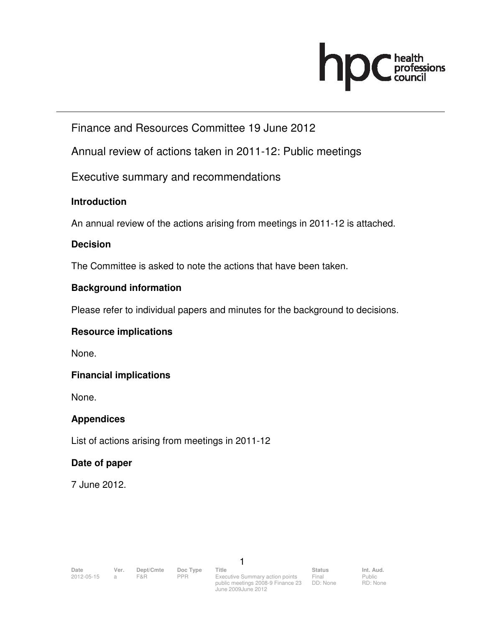# **OC** health<br>council hr

## Finance and Resources Committee 19 June 2012

Annual review of actions taken in 2011-12: Public meetings

Executive summary and recommendations

#### **Introduction**

An annual review of the actions arising from meetings in 2011-12 is attached.

#### **Decision**

The Committee is asked to note the actions that have been taken.

#### **Background information**

Please refer to individual papers and minutes for the background to decisions.

#### **Resource implications**

None.

#### **Financial implications**

None.

#### **Appendices**

List of actions arising from meetings in 2011-12

#### **Date of paper**

7 June 2012.

1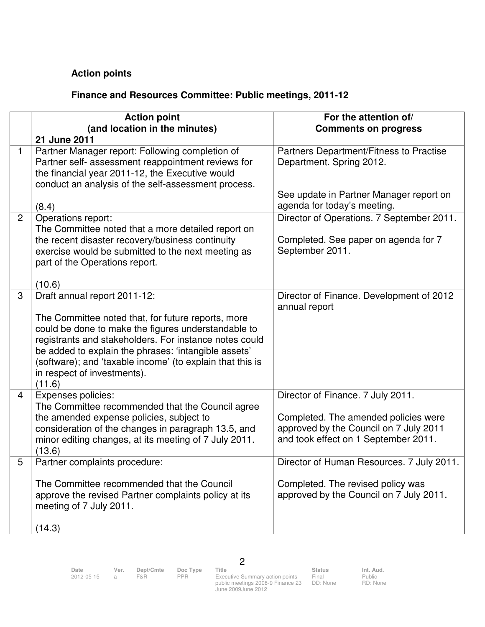### **Action points**

#### **Finance and Resources Committee: Public meetings, 2011-12**

|                | <b>Action point</b>                                                                                                                                                                                                                                                                                                                                               | For the attention of/                                                                                                                                       |
|----------------|-------------------------------------------------------------------------------------------------------------------------------------------------------------------------------------------------------------------------------------------------------------------------------------------------------------------------------------------------------------------|-------------------------------------------------------------------------------------------------------------------------------------------------------------|
|                | (and location in the minutes)                                                                                                                                                                                                                                                                                                                                     | <b>Comments on progress</b>                                                                                                                                 |
|                | 21 June 2011                                                                                                                                                                                                                                                                                                                                                      |                                                                                                                                                             |
| $\mathbf{1}$   | Partner Manager report: Following completion of<br>Partner self- assessment reappointment reviews for<br>the financial year 2011-12, the Executive would<br>conduct an analysis of the self-assessment process.                                                                                                                                                   | Partners Department/Fitness to Practise<br>Department. Spring 2012.                                                                                         |
|                | (8.4)                                                                                                                                                                                                                                                                                                                                                             | See update in Partner Manager report on<br>agenda for today's meeting.                                                                                      |
| $\overline{2}$ | Operations report:<br>The Committee noted that a more detailed report on<br>the recent disaster recovery/business continuity<br>exercise would be submitted to the next meeting as<br>part of the Operations report.<br>(10.6)                                                                                                                                    | Director of Operations. 7 September 2011.<br>Completed. See paper on agenda for 7<br>September 2011.                                                        |
| 3              | Draft annual report 2011-12:<br>The Committee noted that, for future reports, more<br>could be done to make the figures understandable to<br>registrants and stakeholders. For instance notes could<br>be added to explain the phrases: 'intangible assets'<br>(software); and 'taxable income' (to explain that this is<br>in respect of investments).<br>(11.6) | Director of Finance. Development of 2012<br>annual report                                                                                                   |
| 4              | Expenses policies:<br>The Committee recommended that the Council agree<br>the amended expense policies, subject to<br>consideration of the changes in paragraph 13.5, and<br>minor editing changes, at its meeting of 7 July 2011.<br>(13.6)                                                                                                                      | Director of Finance. 7 July 2011.<br>Completed. The amended policies were<br>approved by the Council on 7 July 2011<br>and took effect on 1 September 2011. |
| 5              | Partner complaints procedure:<br>The Committee recommended that the Council<br>approve the revised Partner complaints policy at its<br>meeting of 7 July 2011.<br>(14.3)                                                                                                                                                                                          | Director of Human Resources. 7 July 2011.<br>Completed. The revised policy was<br>approved by the Council on 7 July 2011.                                   |

2

2012-05-15 a F&R PPR Executive Summary action points public meetings 2008-9 Finance 23 June 2009June 2012

Final DD: None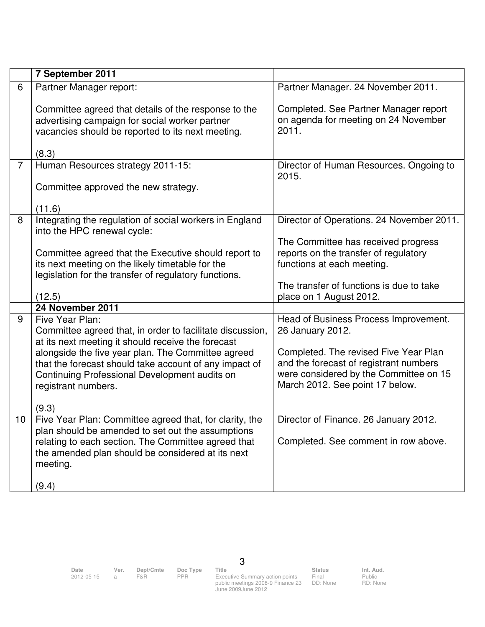|                | 7 September 2011                                                                                                                                                                                                                     |                                                                                                                                                              |
|----------------|--------------------------------------------------------------------------------------------------------------------------------------------------------------------------------------------------------------------------------------|--------------------------------------------------------------------------------------------------------------------------------------------------------------|
| 6              | Partner Manager report:                                                                                                                                                                                                              | Partner Manager. 24 November 2011.                                                                                                                           |
|                | Committee agreed that details of the response to the<br>advertising campaign for social worker partner<br>vacancies should be reported to its next meeting.                                                                          | Completed. See Partner Manager report<br>on agenda for meeting on 24 November<br>2011.                                                                       |
|                | (8.3)                                                                                                                                                                                                                                |                                                                                                                                                              |
| $\overline{7}$ | Human Resources strategy 2011-15:                                                                                                                                                                                                    | Director of Human Resources. Ongoing to<br>2015.                                                                                                             |
|                | Committee approved the new strategy.                                                                                                                                                                                                 |                                                                                                                                                              |
|                | (11.6)                                                                                                                                                                                                                               |                                                                                                                                                              |
| 8              | Integrating the regulation of social workers in England<br>into the HPC renewal cycle:                                                                                                                                               | Director of Operations. 24 November 2011.                                                                                                                    |
|                | Committee agreed that the Executive should report to<br>its next meeting on the likely timetable for the<br>legislation for the transfer of regulatory functions.                                                                    | The Committee has received progress<br>reports on the transfer of regulatory<br>functions at each meeting.                                                   |
|                | (12.5)                                                                                                                                                                                                                               | The transfer of functions is due to take<br>place on 1 August 2012.                                                                                          |
|                | 24 November 2011                                                                                                                                                                                                                     |                                                                                                                                                              |
| 9              | Five Year Plan:<br>Committee agreed that, in order to facilitate discussion,<br>at its next meeting it should receive the forecast                                                                                                   | Head of Business Process Improvement.<br>26 January 2012.                                                                                                    |
|                | alongside the five year plan. The Committee agreed<br>that the forecast should take account of any impact of<br>Continuing Professional Development audits on<br>registrant numbers.<br>(9.3)                                        | Completed. The revised Five Year Plan<br>and the forecast of registrant numbers<br>were considered by the Committee on 15<br>March 2012. See point 17 below. |
| 10             | Five Year Plan: Committee agreed that, for clarity, the<br>plan should be amended to set out the assumptions<br>relating to each section. The Committee agreed that<br>the amended plan should be considered at its next<br>meeting. | Director of Finance. 26 January 2012.<br>Completed. See comment in row above.                                                                                |
|                | (9.4)                                                                                                                                                                                                                                |                                                                                                                                                              |

3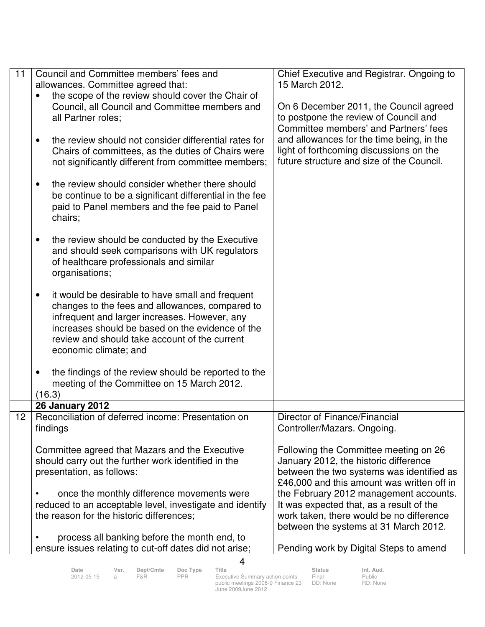| 11              | Council and Committee members' fees and                                                                                                                                                                                                                                            | Chief Executive and Registrar. Ongoing to                                                                                                                                 |
|-----------------|------------------------------------------------------------------------------------------------------------------------------------------------------------------------------------------------------------------------------------------------------------------------------------|---------------------------------------------------------------------------------------------------------------------------------------------------------------------------|
|                 | allowances. Committee agreed that:                                                                                                                                                                                                                                                 | 15 March 2012.                                                                                                                                                            |
|                 | the scope of the review should cover the Chair of                                                                                                                                                                                                                                  |                                                                                                                                                                           |
|                 | Council, all Council and Committee members and<br>all Partner roles;                                                                                                                                                                                                               | On 6 December 2011, the Council agreed<br>to postpone the review of Council and<br>Committee members' and Partners' fees                                                  |
|                 | the review should not consider differential rates for<br>$\bullet$<br>Chairs of committees, as the duties of Chairs were<br>not significantly different from committee members;                                                                                                    | and allowances for the time being, in the<br>light of forthcoming discussions on the<br>future structure and size of the Council.                                         |
|                 | the review should consider whether there should<br>٠<br>be continue to be a significant differential in the fee<br>paid to Panel members and the fee paid to Panel<br>chairs;                                                                                                      |                                                                                                                                                                           |
|                 | the review should be conducted by the Executive<br>$\bullet$<br>and should seek comparisons with UK regulators<br>of healthcare professionals and similar<br>organisations;                                                                                                        |                                                                                                                                                                           |
|                 | it would be desirable to have small and frequent<br>changes to the fees and allowances, compared to<br>infrequent and larger increases. However, any<br>increases should be based on the evidence of the<br>review and should take account of the current<br>economic climate; and |                                                                                                                                                                           |
|                 | the findings of the review should be reported to the<br>$\bullet$<br>meeting of the Committee on 15 March 2012.                                                                                                                                                                    |                                                                                                                                                                           |
|                 | (16.3)                                                                                                                                                                                                                                                                             |                                                                                                                                                                           |
| 12 <sub>2</sub> | <b>26 January 2012</b>                                                                                                                                                                                                                                                             |                                                                                                                                                                           |
|                 | Reconciliation of deferred income: Presentation on<br>findings                                                                                                                                                                                                                     | Director of Finance/Financial<br>Controller/Mazars. Ongoing.                                                                                                              |
|                 | Committee agreed that Mazars and the Executive<br>should carry out the further work identified in the<br>presentation, as follows:                                                                                                                                                 | Following the Committee meeting on 26<br>January 2012, the historic difference<br>between the two systems was identified as<br>£46,000 and this amount was written off in |
|                 | once the monthly difference movements were<br>reduced to an acceptable level, investigate and identify<br>the reason for the historic differences;                                                                                                                                 | the February 2012 management accounts.<br>It was expected that, as a result of the<br>work taken, there would be no difference<br>between the systems at 31 March 2012.   |
|                 | process all banking before the month end, to                                                                                                                                                                                                                                       |                                                                                                                                                                           |
|                 | ensure issues relating to cut-off dates did not arise;                                                                                                                                                                                                                             | Pending work by Digital Steps to amend                                                                                                                                    |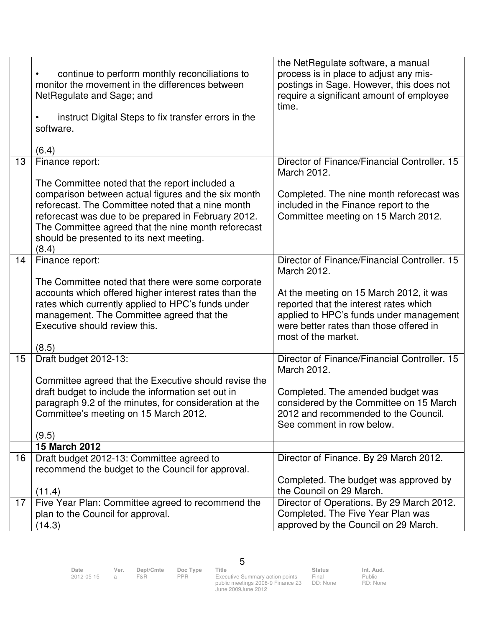|    | continue to perform monthly reconciliations to<br>monitor the movement in the differences between<br>NetRegulate and Sage; and<br>instruct Digital Steps to fix transfer errors in the<br>software.<br>(6.4)                                                                                                                  | the NetRegulate software, a manual<br>process is in place to adjust any mis-<br>postings in Sage. However, this does not<br>require a significant amount of employee<br>time.                  |
|----|-------------------------------------------------------------------------------------------------------------------------------------------------------------------------------------------------------------------------------------------------------------------------------------------------------------------------------|------------------------------------------------------------------------------------------------------------------------------------------------------------------------------------------------|
| 13 | Finance report:                                                                                                                                                                                                                                                                                                               | Director of Finance/Financial Controller, 15                                                                                                                                                   |
|    |                                                                                                                                                                                                                                                                                                                               | March 2012.                                                                                                                                                                                    |
|    | The Committee noted that the report included a<br>comparison between actual figures and the six month<br>reforecast. The Committee noted that a nine month<br>reforecast was due to be prepared in February 2012.<br>The Committee agreed that the nine month reforecast<br>should be presented to its next meeting.<br>(8.4) | Completed. The nine month reforecast was<br>included in the Finance report to the<br>Committee meeting on 15 March 2012.                                                                       |
| 14 | Finance report:                                                                                                                                                                                                                                                                                                               | Director of Finance/Financial Controller, 15<br>March 2012.                                                                                                                                    |
|    | The Committee noted that there were some corporate<br>accounts which offered higher interest rates than the<br>rates which currently applied to HPC's funds under<br>management. The Committee agreed that the<br>Executive should review this.<br>(8.5)                                                                      | At the meeting on 15 March 2012, it was<br>reported that the interest rates which<br>applied to HPC's funds under management<br>were better rates than those offered in<br>most of the market. |
| 15 | Draft budget 2012-13:                                                                                                                                                                                                                                                                                                         | Director of Finance/Financial Controller. 15<br>March 2012.                                                                                                                                    |
|    | Committee agreed that the Executive should revise the<br>draft budget to include the information set out in<br>paragraph 9.2 of the minutes, for consideration at the<br>Committee's meeting on 15 March 2012.<br>(9.5)                                                                                                       | Completed. The amended budget was<br>considered by the Committee on 15 March<br>2012 and recommended to the Council.<br>See comment in row below.                                              |
|    | <b>15 March 2012</b>                                                                                                                                                                                                                                                                                                          |                                                                                                                                                                                                |
| 16 | Draft budget 2012-13: Committee agreed to<br>recommend the budget to the Council for approval.                                                                                                                                                                                                                                | Director of Finance. By 29 March 2012.<br>Completed. The budget was approved by                                                                                                                |
|    | (11.4)                                                                                                                                                                                                                                                                                                                        | the Council on 29 March.                                                                                                                                                                       |
| 17 | Five Year Plan: Committee agreed to recommend the<br>plan to the Council for approval.<br>(14.3)                                                                                                                                                                                                                              | Director of Operations. By 29 March 2012.<br>Completed. The Five Year Plan was<br>approved by the Council on 29 March.                                                                         |

Date Ver. Dept/Cmte Doc<sup>Type</sup> Title Status Status Int. Aud.

5

2012-05-15 a F&R PPR Executive Summary action points public meetings 2008-9 Finance 23 June 2009June 2012